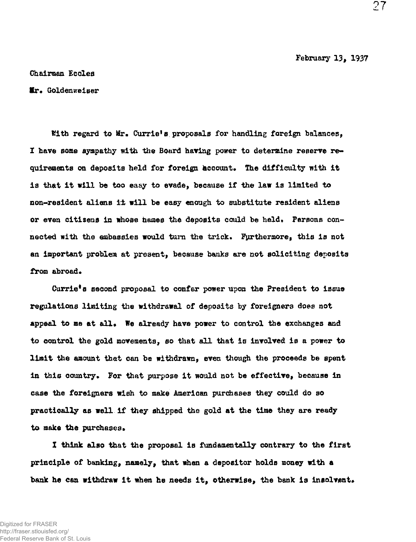February 13, 1937

Chairman Ecclea

**Mr.** Goldenweiser

With regard to Mr. Currie's proposals for handling foreign balances. I have some sympathy with the Board having power to determine reserve requirements on deposits held for foreign account. The difficulty with it is that it will be too easy to evade, because if the law is limited to non-resident aliens it will be easy enough to substitute resident aliens or even citizens in whose hames the deposits could be held. Persons connected with the embassies would turn the trick. Furthermore, this is not an important problem at present, because banks are not soliciting deposits from abroad.

Currie<sup>f</sup>s second proposal to confer power upon the President to issue regulations limiting the withdrawal of deposits by foreigners does not appeal to me at all. We already have power to control the exchanges and to control the gold movements, so that all that is involved is a power to limit the amount that can be withdrawn, even though the proceeds be spent in this country. For that purpose it would not be effective, because in case the foreigners wish to make American purchases they could do so practically as well if they shipped the gold at the time they are ready to make the purchases.

I think also that the proposal is fundamentally contrary to the first principle of banking, namely, that whan a depositor holds money with a bank he can withdraw it when he needs it, otherwise, the bank is insolvent.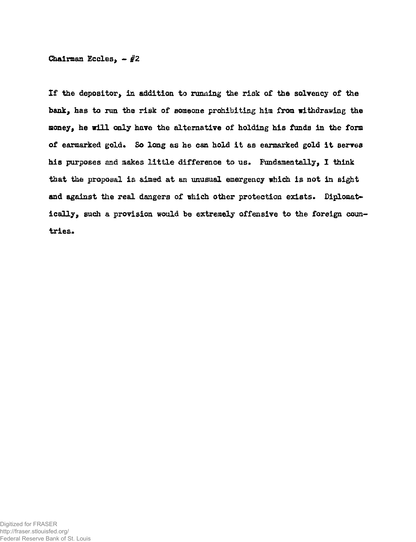Chairman Eccles,  $-$  #2

If the depositor, in addition to running the risk of the solvency of the bank, has to run the risk of someone prohibiting him from withdrawing the money, he will only have the alternative of holding his funds in the form of earmarked gold. So long as he can hold it as earmarked gold it serves his purposes and makes little difference to us. Fundamentally, I think that the proposal is aimed at an unusual emergency which is not in sight and against the real dangers of which other protection exists. Diplomatically, such a provision would be extremely offensive to the foreign countries.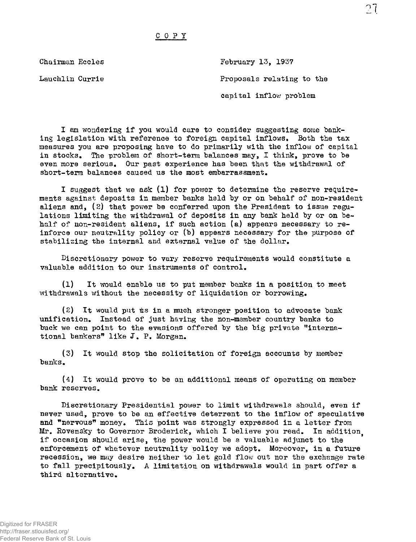## COPY

Chairman Eccles Lauchlin Currie February 13, 1937 Proposals relating to the capital inflow problem

I am wondering if you would care to consider suggesting some banking legislation with reference to foreign capital inflows. Both the tax measures you are proposing have to do primarily with the inflow of capital in stocks. The problem of short-term balances may, I think, prove to be even more serious. Our past experience has been that the withdrawal of short-term balances caused us the most embarrassment.

I suggest that we ask (1) for power to determine the reserve requirements against deposits in member banks held by or on behalf of non-resident aliens and,  $(2)$  that power be conferred upon the President to issue regulations limiting the withdrawal of deposits in any bank held by or on behalf of non-resident aliens, if such action (a) appears necessary to reinforce our neutrality policy or (b) appears necessary for the purpose of stabilizing the internal and external value of the dollar.

Discretionary power to vary reserve requirements would constitute a valuable addition to our instruments of control,

(1) It would enable us to put member banks in a position to meet withdrawals without the necessity of liquidation or borrowing.

 $(2)$  It would put us in a much stronger position to advocate bank unification. Instead of just having the non-member country banks to buck we can point to the evasions offered by the big private "international bankers" like J. P. Morgan.

(3) It would stop the solicitation of foreign accounts by member banks.

(4) It would prove to be an additional means of operating on member bank reserves.

Discretionary Presidential power to limit withdrawals should, even if never used, prove to be an effective deterrent to the inflow of speculative and "nervous" money. This point was strongly expressed in a letter from Mr. Rovensky to Governor Broderick, which I believe you read. In addition^ if occasion should arise, the power would be a valuable adjunct to the enforcement of whatever neutrality policy we adopt. Moreover, in a future recession, we may desire neither to let gold flow out nor the exchange rate to fall precipitously. A limitation on withdrawals would in part offer a third alternative.